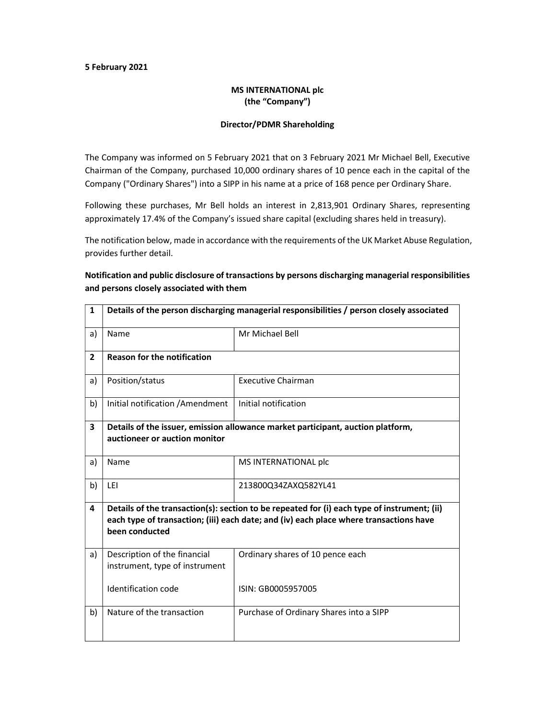#### 5 February 2021

### MS INTERNATIONAL plc (the "Company")

#### Director/PDMR Shareholding

The Company was informed on 5 February 2021 that on 3 February 2021 Mr Michael Bell, Executive Chairman of the Company, purchased 10,000 ordinary shares of 10 pence each in the capital of the Company ("Ordinary Shares") into a SIPP in his name at a price of 168 pence per Ordinary Share.

Following these purchases, Mr Bell holds an interest in 2,813,901 Ordinary Shares, representing approximately 17.4% of the Company's issued share capital (excluding shares held in treasury).

The notification below, made in accordance with the requirements of the UK Market Abuse Regulation, provides further detail.

## Notification and public disclosure of transactions by persons discharging managerial responsibilities and persons closely associated with them

| $\mathbf{1}$   | Details of the person discharging managerial responsibilities / person closely associated                                                                                                               |                                         |  |
|----------------|---------------------------------------------------------------------------------------------------------------------------------------------------------------------------------------------------------|-----------------------------------------|--|
| a)             | Name                                                                                                                                                                                                    | Mr Michael Bell                         |  |
| $\overline{2}$ | <b>Reason for the notification</b>                                                                                                                                                                      |                                         |  |
| a)             | Position/status                                                                                                                                                                                         | <b>Executive Chairman</b>               |  |
| b)             | Initial notification / Amendment                                                                                                                                                                        | Initial notification                    |  |
| 3              | Details of the issuer, emission allowance market participant, auction platform,                                                                                                                         |                                         |  |
|                | auctioneer or auction monitor                                                                                                                                                                           |                                         |  |
| a)             | Name                                                                                                                                                                                                    | MS INTERNATIONAL plc                    |  |
| b)             | LEI                                                                                                                                                                                                     | 213800Q34ZAXQ582YL41                    |  |
| 4              | Details of the transaction(s): section to be repeated for (i) each type of instrument; (ii)<br>each type of transaction; (iii) each date; and (iv) each place where transactions have<br>been conducted |                                         |  |
| a)             | Description of the financial<br>instrument, type of instrument                                                                                                                                          | Ordinary shares of 10 pence each        |  |
|                | Identification code                                                                                                                                                                                     | ISIN: GB0005957005                      |  |
| b)             | Nature of the transaction                                                                                                                                                                               | Purchase of Ordinary Shares into a SIPP |  |